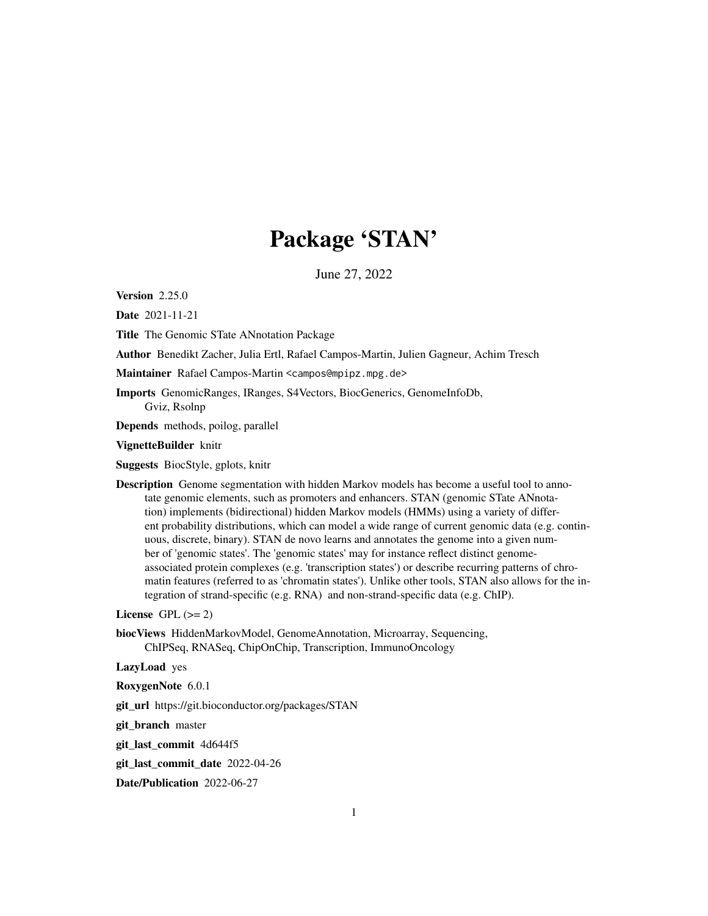# Package 'STAN'

June 27, 2022

Version 2.25.0

Date 2021-11-21

Title The Genomic STate ANnotation Package

Author Benedikt Zacher, Julia Ertl, Rafael Campos-Martin, Julien Gagneur, Achim Tresch

Maintainer Rafael Campos-Martin <campos@mpipz.mpg.de>

Imports GenomicRanges, IRanges, S4Vectors, BiocGenerics, GenomeInfoDb, Gviz, Rsolnp

Depends methods, poilog, parallel

VignetteBuilder knitr

Suggests BiocStyle, gplots, knitr

Description Genome segmentation with hidden Markov models has become a useful tool to annotate genomic elements, such as promoters and enhancers. STAN (genomic STate ANnotation) implements (bidirectional) hidden Markov models (HMMs) using a variety of different probability distributions, which can model a wide range of current genomic data (e.g. continuous, discrete, binary). STAN de novo learns and annotates the genome into a given number of 'genomic states'. The 'genomic states' may for instance reflect distinct genomeassociated protein complexes (e.g. 'transcription states') or describe recurring patterns of chromatin features (referred to as 'chromatin states'). Unlike other tools, STAN also allows for the integration of strand-specific (e.g. RNA) and non-strand-specific data (e.g. ChIP).

License GPL  $(>= 2)$ 

biocViews HiddenMarkovModel, GenomeAnnotation, Microarray, Sequencing, ChIPSeq, RNASeq, ChipOnChip, Transcription, ImmunoOncology

LazyLoad yes

RoxygenNote 6.0.1

git\_url https://git.bioconductor.org/packages/STAN

git\_branch master

git\_last\_commit 4d644f5

git\_last\_commit\_date 2022-04-26

Date/Publication 2022-06-27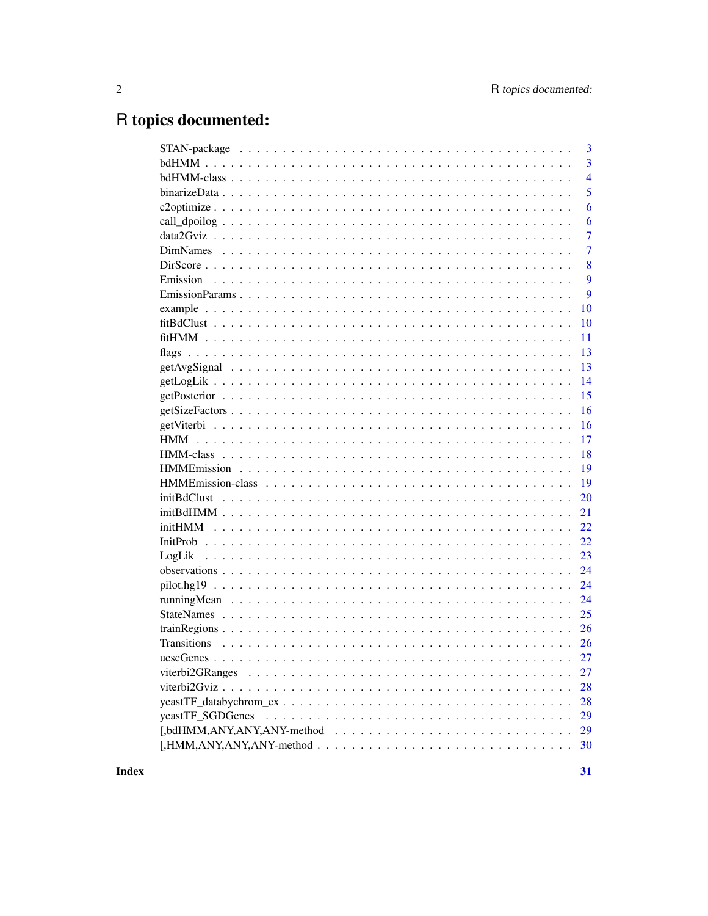## R topics documented:

|                  | 3              |
|------------------|----------------|
|                  | 3              |
|                  | $\overline{4}$ |
|                  | 5              |
|                  | 6              |
|                  | 6              |
|                  | $\overline{7}$ |
|                  | 7              |
|                  | 8              |
|                  | 9              |
|                  | 9              |
|                  | 10             |
|                  | 10             |
|                  | 11             |
| flags            | 13             |
|                  | 13             |
|                  | 14             |
|                  | 15             |
|                  | 16             |
|                  | 16             |
|                  | 17             |
|                  | 18             |
|                  | 19             |
|                  | 19             |
|                  | 20             |
|                  | 21             |
|                  | 22             |
|                  | 22             |
|                  | 23             |
|                  | 24             |
|                  | 24             |
|                  | 24             |
|                  | 25             |
|                  | 26             |
|                  | 26             |
|                  | 27             |
|                  | 27             |
|                  | 28             |
|                  | 28             |
| yeastTF SGDGenes | 29             |
|                  | 29             |
|                  | 30             |
|                  |                |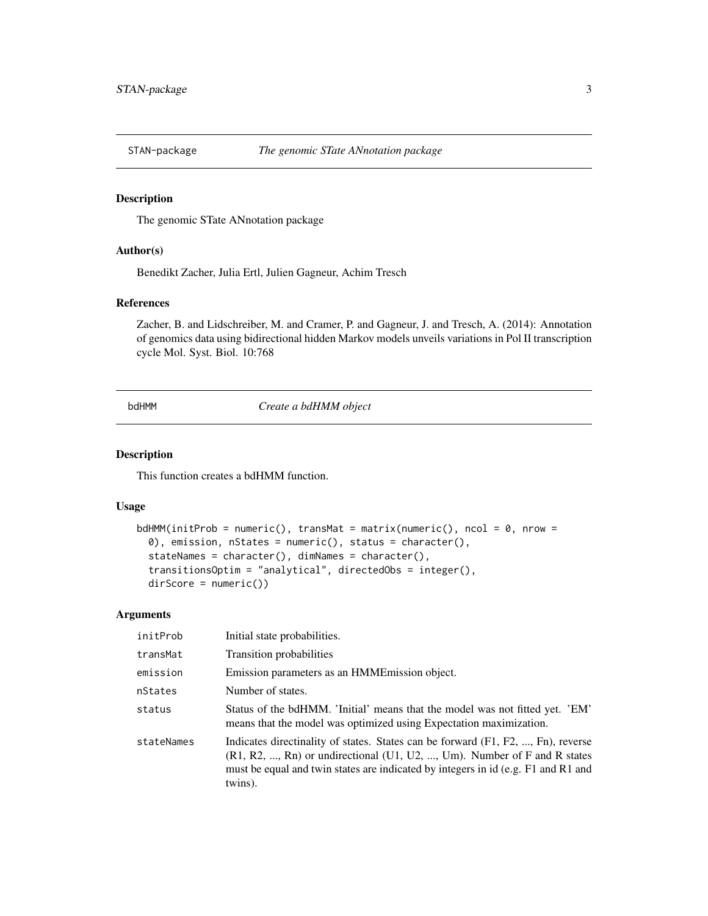<span id="page-2-0"></span>

The genomic STate ANnotation package

#### Author(s)

Benedikt Zacher, Julia Ertl, Julien Gagneur, Achim Tresch

## References

Zacher, B. and Lidschreiber, M. and Cramer, P. and Gagneur, J. and Tresch, A. (2014): Annotation of genomics data using bidirectional hidden Markov models unveils variations in Pol II transcription cycle Mol. Syst. Biol. 10:768

bdHMM *Create a bdHMM object*

#### Description

This function creates a bdHMM function.

#### Usage

```
bdHMM(initProb = numeric(), transMat = matrix(numeric(), ncol = 0, nrow =
 0), emission, nStates = numeric(), status = character(),
  stateNames = character(), dimNames = character(),
  transitionsOptim = "analytical", directedObs = integer(),
 dirScore = numeric())
```
#### Arguments

| initProb   | Initial state probabilities.                                                                                                                                                                                                                                      |
|------------|-------------------------------------------------------------------------------------------------------------------------------------------------------------------------------------------------------------------------------------------------------------------|
| transMat   | Transition probabilities                                                                                                                                                                                                                                          |
| emission   | Emission parameters as an HMME mission object.                                                                                                                                                                                                                    |
| nStates    | Number of states.                                                                                                                                                                                                                                                 |
| status     | Status of the bdHMM. 'Initial' means that the model was not fitted yet. 'EM'<br>means that the model was optimized using Expectation maximization.                                                                                                                |
| stateNames | Indicates directinality of states. States can be forward (F1, F2, , Fn), reverse<br>$(R1, R2, , Rn)$ or undirectional $(U1, U2, , Um)$ . Number of F and R states<br>must be equal and twin states are indicated by integers in id (e.g. F1 and R1 and<br>twins). |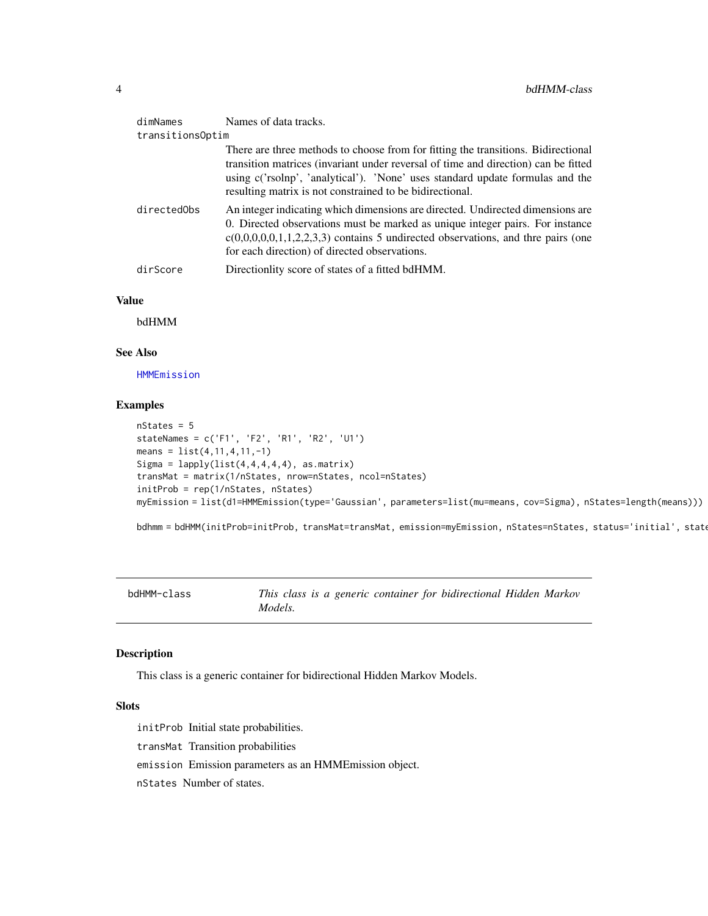<span id="page-3-0"></span>

| dimNames         | Names of data tracks.                                                                                                                                                                                                                                                                                                |
|------------------|----------------------------------------------------------------------------------------------------------------------------------------------------------------------------------------------------------------------------------------------------------------------------------------------------------------------|
| transitionsOptim |                                                                                                                                                                                                                                                                                                                      |
|                  | There are three methods to choose from for fitting the transitions. Bidirectional<br>transition matrices (invariant under reversal of time and direction) can be fitted<br>using c('rsolnp', 'analytical'). 'None' uses standard update formulas and the<br>resulting matrix is not constrained to be bidirectional. |
| directedObs      | An integer indicating which dimensions are directed. Undirected dimensions are<br>0. Directed observations must be marked as unique integer pairs. For instance<br>$c(0,0,0,0,0,1,1,2,2,3,3)$ contains 5 undirected observations, and thre pairs (one<br>for each direction) of directed observations.               |
| dirScore         | Directionlity score of states of a fitted bdHMM.                                                                                                                                                                                                                                                                     |

## Value

bdHMM

## See Also

[HMMEmission](#page-18-1)

#### Examples

```
nStates = 5
stateNames = c('F1', 'F2', 'R1', 'R2', 'U1')
means = list(4, 11, 4, 11, -1)Sigma = lapply(list(4,4,4,4,4), asmatrix)transMat = matrix(1/nStates, nrow=nStates, ncol=nStates)
initProb = rep(1/nStates, nStates)
myEmission = list(d1=HMMEmission(type='Gaussian', parameters=list(mu=means, cov=Sigma), nStates=length(means)))
```
bdhmm = bdHMM(initProb=initProb, transMat=transMat, emission=myEmission, nStates=nStates, status='initial', stat

<span id="page-3-1"></span>bdHMM-class *This class is a generic container for bidirectional Hidden Markov Models.*

#### Description

This class is a generic container for bidirectional Hidden Markov Models.

## **Slots**

initProb Initial state probabilities. transMat Transition probabilities emission Emission parameters as an HMMEmission object. nStates Number of states.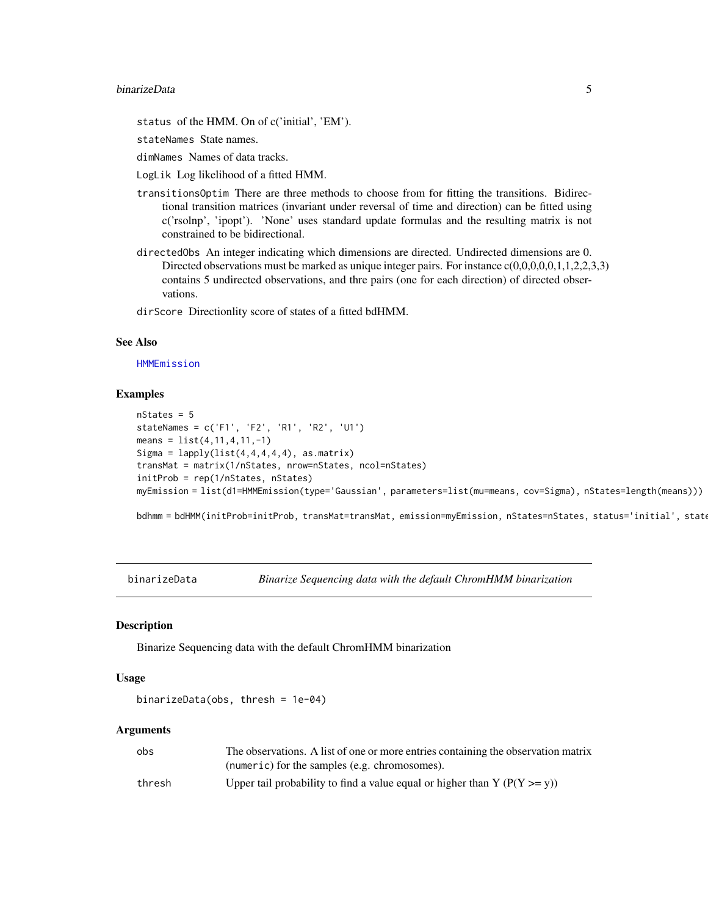#### <span id="page-4-0"></span>binarizeData 5

status of the HMM. On of c('initial', 'EM').

stateNames State names.

dimNames Names of data tracks.

LogLik Log likelihood of a fitted HMM.

transitionsOptim There are three methods to choose from for fitting the transitions. Bidirectional transition matrices (invariant under reversal of time and direction) can be fitted using c('rsolnp', 'ipopt'). 'None' uses standard update formulas and the resulting matrix is not constrained to be bidirectional.

directedObs An integer indicating which dimensions are directed. Undirected dimensions are 0. Directed observations must be marked as unique integer pairs. For instance  $c(0,0,0,0,0,1,1,2,2,3,3)$ contains 5 undirected observations, and thre pairs (one for each direction) of directed observations.

dirScore Directionlity score of states of a fitted bdHMM.

#### See Also

[HMMEmission](#page-18-1)

## Examples

```
nStates = 5
stateNames = c('F1', 'F2', 'R1', 'R2', 'U1')
means = list(4, 11, 4, 11, -1)Sigma = lapply(list(4,4,4,4,4), as matrix)transMat = matrix(1/nStates, nrow=nStates, ncol=nStates)
initProb = rep(1/nStates, nStates)
myEmission = list(d1=HMMEmission(type='Gaussian', parameters=list(mu=means, cov=Sigma), nStates=length(means)))
```
bdhmm = bdHMM(initProb=initProb, transMat=transMat, emission=myEmission, nStates=nStates, status='initial', state

binarizeData *Binarize Sequencing data with the default ChromHMM binarization*

#### Description

Binarize Sequencing data with the default ChromHMM binarization

#### Usage

```
binarizeData(obs, thresh = 1e-04)
```
#### Arguments

| obs    | The observations. A list of one or more entries containing the observation matrix |
|--------|-----------------------------------------------------------------------------------|
|        | (numeric) for the samples (e.g. chromosomes).                                     |
| thresh | Upper tail probability to find a value equal or higher than Y ( $P(Y \ge y)$ )    |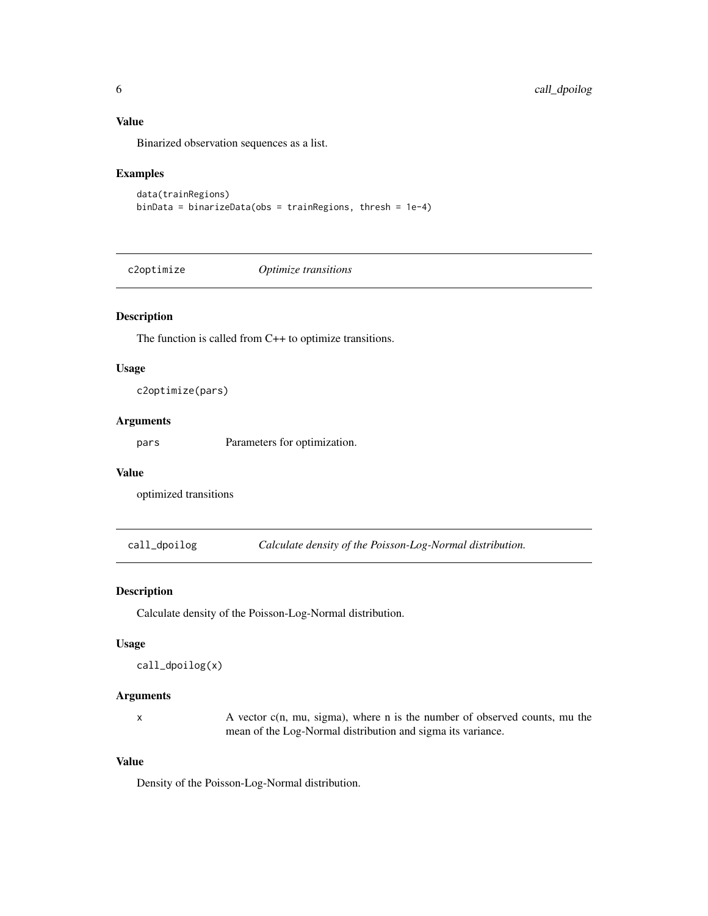## Value

Binarized observation sequences as a list.

#### Examples

```
data(trainRegions)
binData = binarizeData(obs = trainRegions, thresh = 1e-4)
```
c2optimize *Optimize transitions*

## Description

The function is called from C++ to optimize transitions.

#### Usage

c2optimize(pars)

#### Arguments

pars Parameters for optimization.

## Value

optimized transitions

call\_dpoilog *Calculate density of the Poisson-Log-Normal distribution.*

## Description

Calculate density of the Poisson-Log-Normal distribution.

## Usage

```
call_dpoilog(x)
```
#### Arguments

x A vector c(n, mu, sigma), where n is the number of observed counts, mu the mean of the Log-Normal distribution and sigma its variance.

## Value

Density of the Poisson-Log-Normal distribution.

<span id="page-5-0"></span>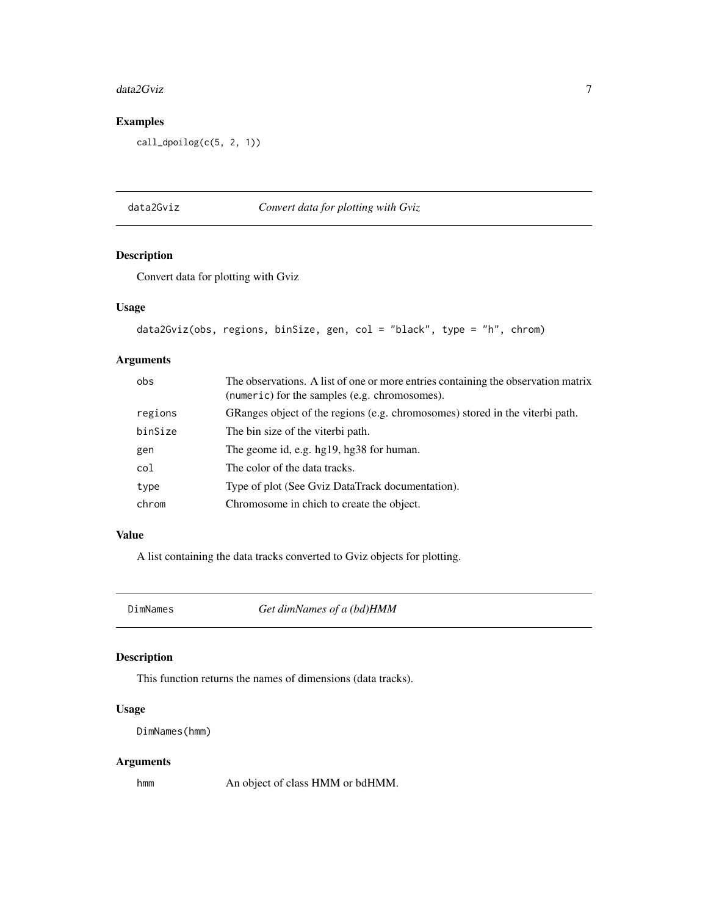#### <span id="page-6-0"></span>data2Gviz 7

## Examples

call\_dpoilog(c(5, 2, 1))

## data2Gviz *Convert data for plotting with Gviz*

## Description

Convert data for plotting with Gviz

## Usage

```
data2Gviz(obs, regions, binSize, gen, col = "black", type = "h", chrom)
```
## Arguments

| obs     | The observations. A list of one or more entries containing the observation matrix<br>(numeric) for the samples (e.g. chromosomes). |
|---------|------------------------------------------------------------------------------------------------------------------------------------|
| regions | GRanges object of the regions (e.g. chromosomes) stored in the viterbi path.                                                       |
| binSize | The bin size of the viterbi path.                                                                                                  |
| gen     | The geome id, e.g. hg19, hg38 for human.                                                                                           |
| col     | The color of the data tracks.                                                                                                      |
| type    | Type of plot (See Gviz DataTrack documentation).                                                                                   |
| chrom   | Chromosome in chich to create the object.                                                                                          |

## Value

A list containing the data tracks converted to Gviz objects for plotting.

DimNames *Get dimNames of a (bd)HMM*

## Description

This function returns the names of dimensions (data tracks).

## Usage

DimNames(hmm)

## Arguments

hmm An object of class HMM or bdHMM.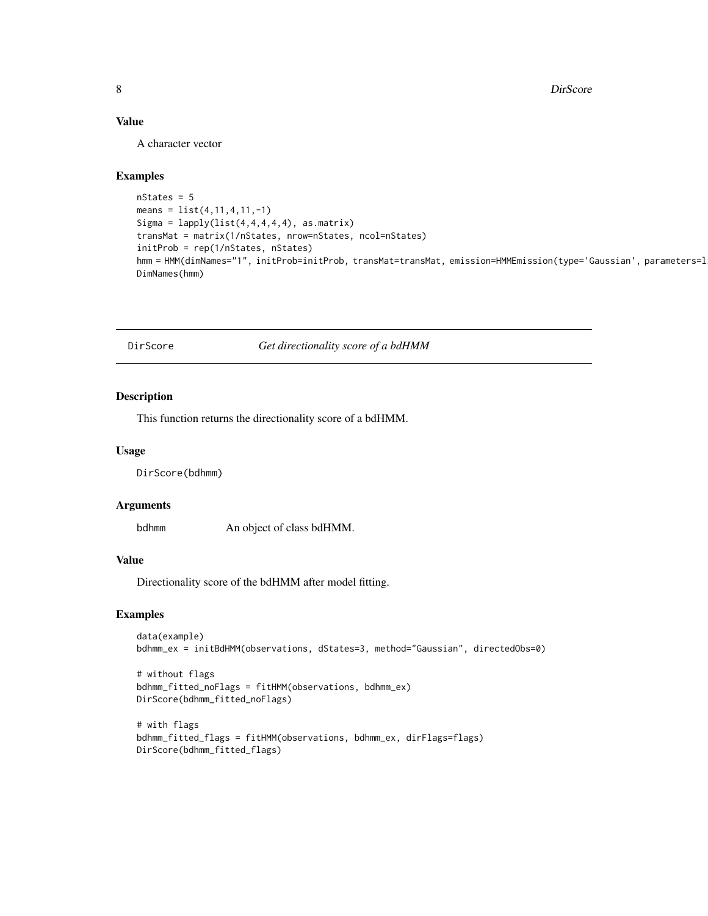## <span id="page-7-0"></span>Value

A character vector

#### Examples

```
nStates = 5
means = list(4, 11, 4, 11, -1)Sigma = lapply(list(4,4,4,4,4), as matrix)transMat = matrix(1/nStates, nrow=nStates, ncol=nStates)
initProb = rep(1/nStates, nStates)
hmm = HMM(dimNames="1", initProb=initProb, transMat=transMat, emission=HMMEmission(type='Gaussian', parameters=l
DimNames(hmm)
```
DirScore *Get directionality score of a bdHMM*

#### Description

This function returns the directionality score of a bdHMM.

#### Usage

DirScore(bdhmm)

#### Arguments

bdhmm An object of class bdHMM.

## Value

Directionality score of the bdHMM after model fitting.

```
data(example)
bdhmm_ex = initBdHMM(observations, dStates=3, method="Gaussian", directedObs=0)
```

```
# without flags
bdhmm_fitted_noFlags = fitHMM(observations, bdhmm_ex)
DirScore(bdhmm_fitted_noFlags)
```

```
# with flags
bdhmm_fitted_flags = fitHMM(observations, bdhmm_ex, dirFlags=flags)
DirScore(bdhmm_fitted_flags)
```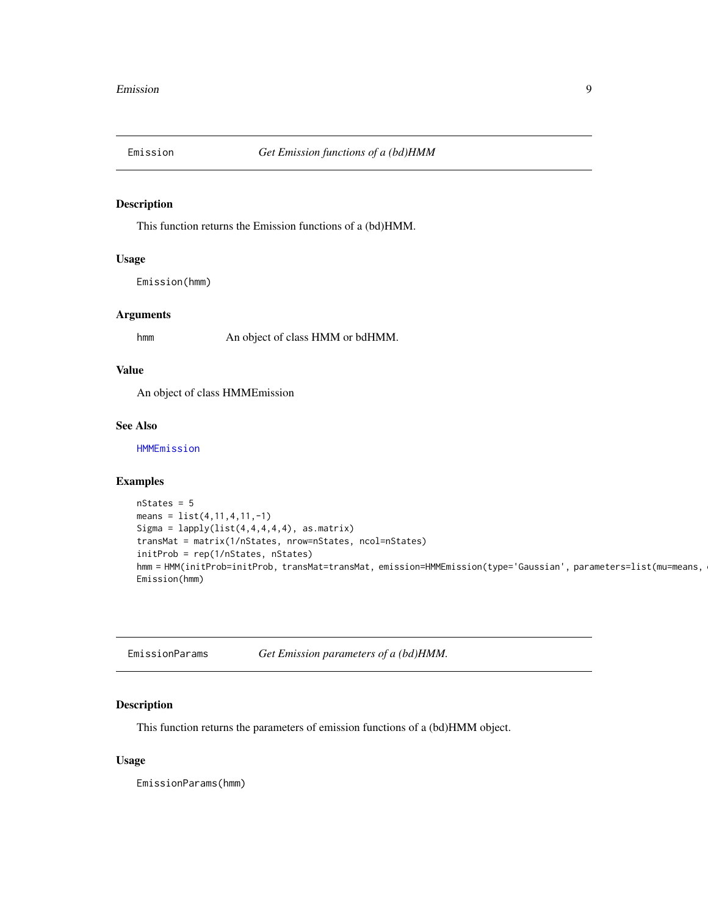<span id="page-8-0"></span>

This function returns the Emission functions of a (bd)HMM.

#### Usage

Emission(hmm)

#### Arguments

hmm An object of class HMM or bdHMM.

## Value

An object of class HMMEmission

## See Also

[HMMEmission](#page-18-1)

## Examples

```
nStates = 5
means = list(4, 11, 4, 11, -1)Sigma = lapply(list(4,4,4,4,4), asmatrix)transMat = matrix(1/nStates, nrow=nStates, ncol=nStates)
initProb = rep(1/nStates, nStates)
hmm = HMM(initProb=initProb, transMat=transMat, emission=HMMEmission(type='Gaussian', parameters=list(mu=means,
Emission(hmm)
```

| EmissionParams | Get Emission parameters of a (bd)HMM. |  |  |
|----------------|---------------------------------------|--|--|
|----------------|---------------------------------------|--|--|

## Description

This function returns the parameters of emission functions of a (bd)HMM object.

#### Usage

EmissionParams(hmm)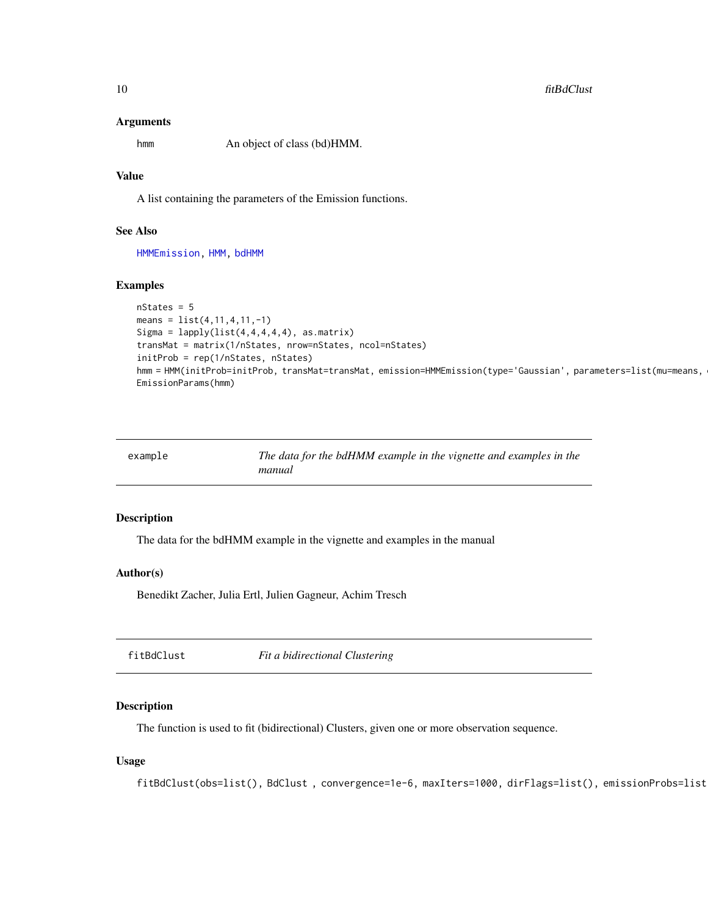#### <span id="page-9-0"></span>10 fitBdClust

#### Arguments

hmm An object of class (bd)HMM.

## Value

A list containing the parameters of the Emission functions.

## See Also

[HMMEmission,](#page-18-1) [HMM,](#page-17-1) [bdHMM](#page-3-1)

## Examples

```
nStates = 5
means = list(4, 11, 4, 11, -1)Sigma = lapply(list(4,4,4,4,4), as matrix)transMat = matrix(1/nStates, nrow=nStates, ncol=nStates)
initProb = rep(1/nStates, nStates)
hmm = HMM(initProb=initProb, transMat=transMat, emission=HMMEmission(type='Gaussian', parameters=list(mu=means,
EmissionParams(hmm)
```

| example | The data for the bdHMM example in the vignette and examples in the |
|---------|--------------------------------------------------------------------|
|         | manual                                                             |

#### Description

The data for the bdHMM example in the vignette and examples in the manual

#### Author(s)

Benedikt Zacher, Julia Ertl, Julien Gagneur, Achim Tresch

fitBdClust *Fit a bidirectional Clustering*

## Description

The function is used to fit (bidirectional) Clusters, given one or more observation sequence.

#### Usage

fitBdClust(obs=list(), BdClust, convergence=1e-6, maxIters=1000, dirFlags=list(), emissionProbs=list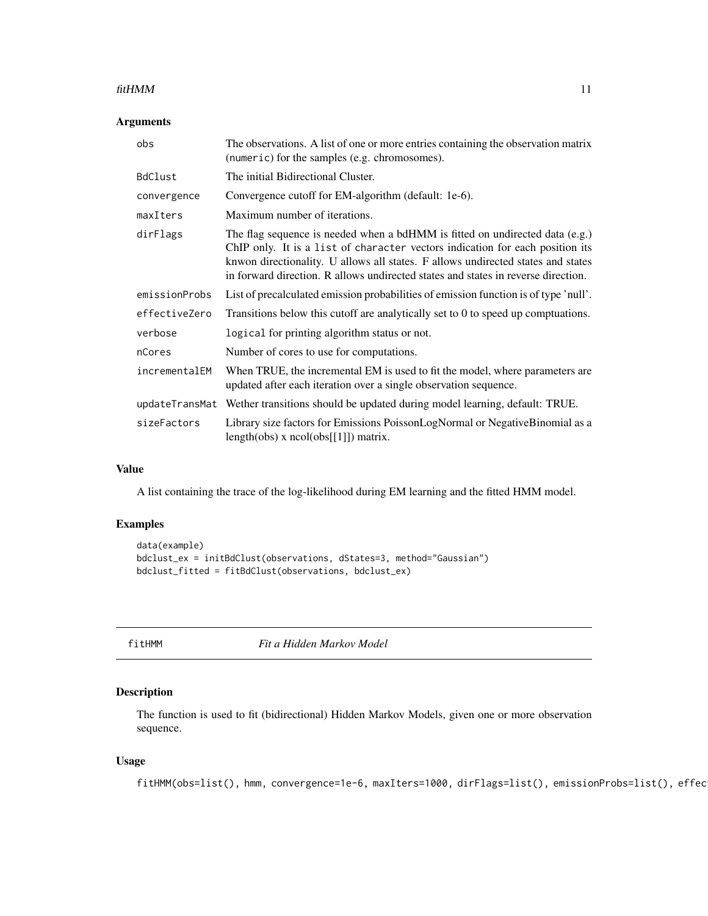#### <span id="page-10-0"></span> $fitHMM$  11

## Arguments

| obs            | The observations. A list of one or more entries containing the observation matrix<br>(numeric) for the samples (e.g. chromosomes).                                                                                                                                                                                                     |
|----------------|----------------------------------------------------------------------------------------------------------------------------------------------------------------------------------------------------------------------------------------------------------------------------------------------------------------------------------------|
| BdClust        | The initial Bidirectional Cluster.                                                                                                                                                                                                                                                                                                     |
| convergence    | Convergence cutoff for EM-algorithm (default: 1e-6).                                                                                                                                                                                                                                                                                   |
| maxIters       | Maximum number of iterations.                                                                                                                                                                                                                                                                                                          |
| dirFlags       | The flag sequence is needed when a bdHMM is fitted on undirected data (e.g.)<br>ChIP only. It is a list of character vectors indication for each position its<br>knwon directionality. U allows all states. F allows undirected states and states<br>in forward direction. R allows undirected states and states in reverse direction. |
| emissionProbs  | List of precalculated emission probabilities of emission function is of type 'null'.                                                                                                                                                                                                                                                   |
| effectiveZero  | Transitions below this cutoff are analytically set to $0$ to speed up comptuations.                                                                                                                                                                                                                                                    |
| verbose        | logical for printing algorithm status or not.                                                                                                                                                                                                                                                                                          |
| nCores         | Number of cores to use for computations.                                                                                                                                                                                                                                                                                               |
| incrementalEM  | When TRUE, the incremental EM is used to fit the model, where parameters are<br>updated after each iteration over a single observation sequence.                                                                                                                                                                                       |
| updateTransMat | Wether transitions should be updated during model learning, default: TRUE.                                                                                                                                                                                                                                                             |
| sizeFactors    | Library size factors for Emissions PoissonLogNormal or NegativeBinomial as a<br>length(obs) $x \text{ ncol}(\text{obs}[[1]])$ matrix.                                                                                                                                                                                                  |

#### Value

A list containing the trace of the log-likelihood during EM learning and the fitted HMM model.

## Examples

```
data(example)
bdclust_ex = initBdClust(observations, dStates=3, method="Gaussian")
bdclust_fitted = fitBdClust(observations, bdclust_ex)
```
fitHMM *Fit a Hidden Markov Model*

## Description

The function is used to fit (bidirectional) Hidden Markov Models, given one or more observation sequence.

#### Usage

fitHMM(obs=list(), hmm, convergence=1e-6, maxIters=1000, dirFlags=list(), emissionProbs=list(), effec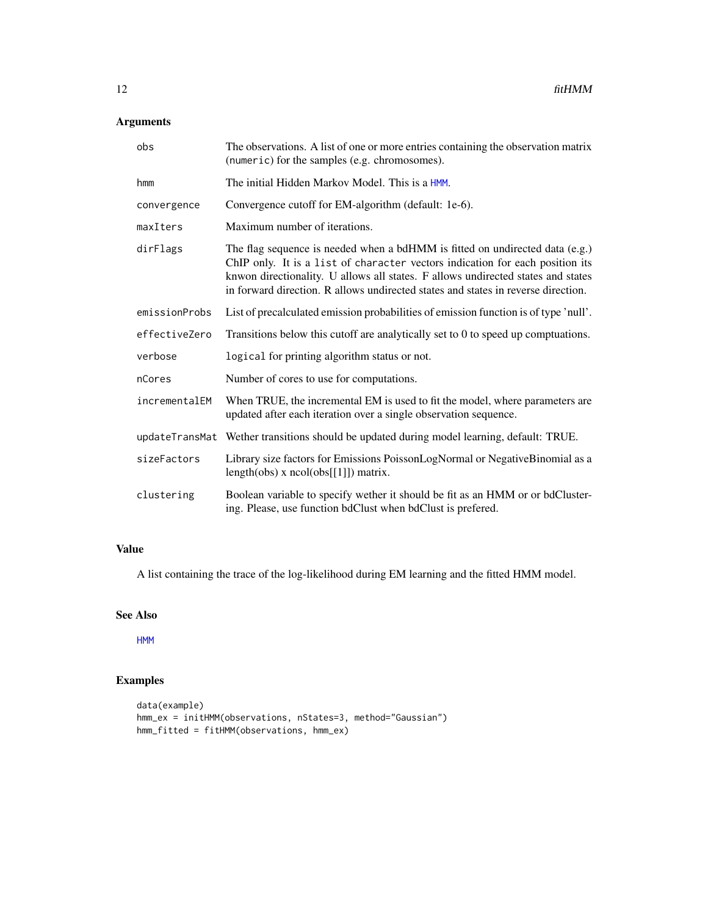## <span id="page-11-0"></span>Arguments

| obs            | The observations. A list of one or more entries containing the observation matrix<br>(numeric) for the samples (e.g. chromosomes).                                                                                                                                                                                                     |
|----------------|----------------------------------------------------------------------------------------------------------------------------------------------------------------------------------------------------------------------------------------------------------------------------------------------------------------------------------------|
| hmm            | The initial Hidden Markov Model. This is a HMM.                                                                                                                                                                                                                                                                                        |
| convergence    | Convergence cutoff for EM-algorithm (default: 1e-6).                                                                                                                                                                                                                                                                                   |
| maxIters       | Maximum number of iterations.                                                                                                                                                                                                                                                                                                          |
| dirFlags       | The flag sequence is needed when a bdHMM is fitted on undirected data (e.g.)<br>ChIP only. It is a list of character vectors indication for each position its<br>knwon directionality. U allows all states. F allows undirected states and states<br>in forward direction. R allows undirected states and states in reverse direction. |
| emissionProbs  | List of precalculated emission probabilities of emission function is of type 'null'.                                                                                                                                                                                                                                                   |
| effectiveZero  | Transitions below this cutoff are analytically set to 0 to speed up comptuations.                                                                                                                                                                                                                                                      |
| verbose        | logical for printing algorithm status or not.                                                                                                                                                                                                                                                                                          |
| nCores         | Number of cores to use for computations.                                                                                                                                                                                                                                                                                               |
| incrementalEM  | When TRUE, the incremental EM is used to fit the model, where parameters are<br>updated after each iteration over a single observation sequence.                                                                                                                                                                                       |
| updateTransMat | Wether transitions should be updated during model learning, default: TRUE.                                                                                                                                                                                                                                                             |
| sizeFactors    | Library size factors for Emissions PoissonLogNormal or NegativeBinomial as a<br>length(obs) x $ncol(obs[[1]])$ matrix.                                                                                                                                                                                                                 |
| clustering     | Boolean variable to specify wether it should be fit as an HMM or or bdCluster-<br>ing. Please, use function bdClust when bdClust is prefered.                                                                                                                                                                                          |

## Value

A list containing the trace of the log-likelihood during EM learning and the fitted HMM model.

#### See Also

[HMM](#page-17-1)

```
data(example)
hmm_ex = initHMM(observations, nStates=3, method="Gaussian")
hmm_fitted = fitHMM(observations, hmm_ex)
```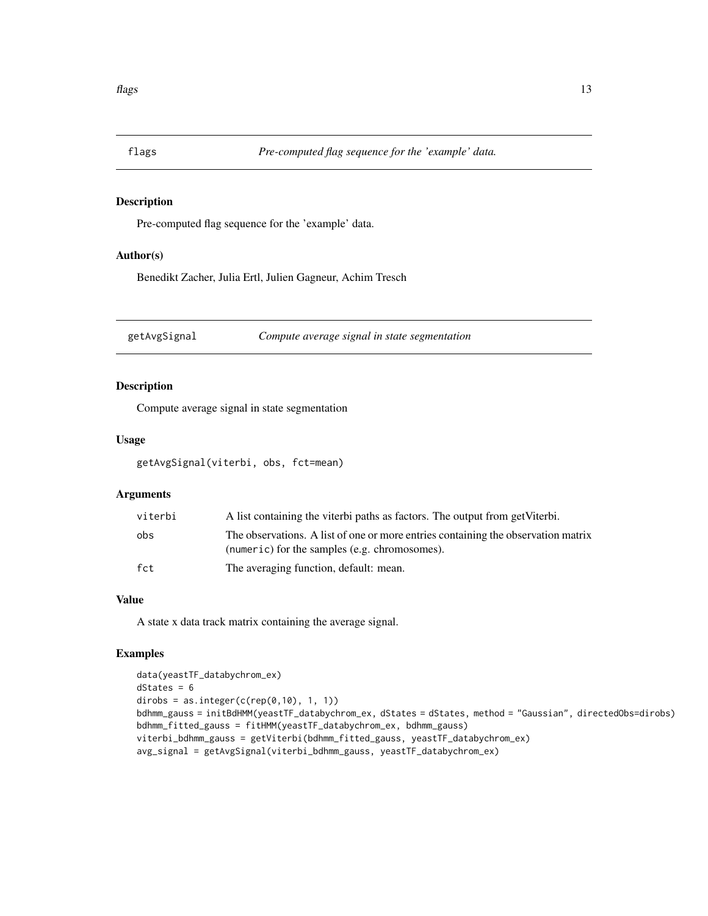<span id="page-12-0"></span>

Pre-computed flag sequence for the 'example' data.

## Author(s)

Benedikt Zacher, Julia Ertl, Julien Gagneur, Achim Tresch

getAvgSignal *Compute average signal in state segmentation*

## Description

Compute average signal in state segmentation

## Usage

getAvgSignal(viterbi, obs, fct=mean)

#### Arguments

| viterbi | A list containing the viterbi paths as factors. The output from get Viterbi.                                                       |
|---------|------------------------------------------------------------------------------------------------------------------------------------|
| obs     | The observations. A list of one or more entries containing the observation matrix<br>(numeric) for the samples (e.g. chromosomes). |
| fct     | The averaging function, default: mean.                                                                                             |

## Value

A state x data track matrix containing the average signal.

```
data(yeastTF_databychrom_ex)
dStates = 6dirobs = as.integer(c(rep(\theta,1\theta), 1, 1))
bdhmm_gauss = initBdHMM(yeastTF_databychrom_ex, dStates = dStates, method = "Gaussian", directedObs=dirobs)
bdhmm_fitted_gauss = fitHMM(yeastTF_databychrom_ex, bdhmm_gauss)
viterbi_bdhmm_gauss = getViterbi(bdhmm_fitted_gauss, yeastTF_databychrom_ex)
avg_signal = getAvgSignal(viterbi_bdhmm_gauss, yeastTF_databychrom_ex)
```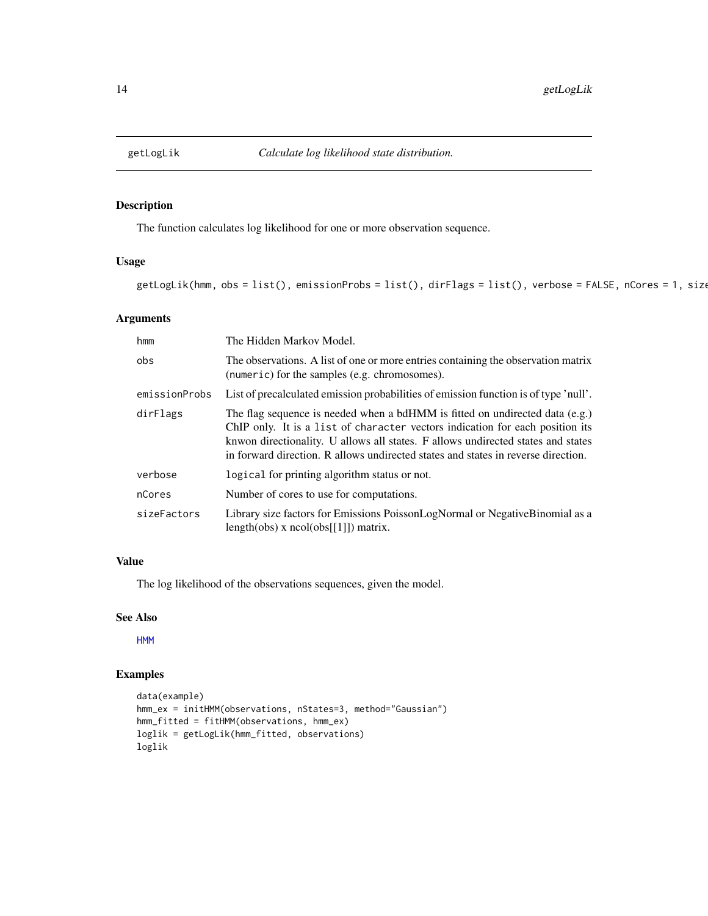<span id="page-13-0"></span>

The function calculates log likelihood for one or more observation sequence.

## Usage

getLogLik(hmm, obs = list(), emissionProbs = list(), dirFlags = list(), verbose = FALSE, nCores = 1, size

## Arguments

| hmm           | The Hidden Markov Model.                                                                                                                                                                                                                                                                                                                 |
|---------------|------------------------------------------------------------------------------------------------------------------------------------------------------------------------------------------------------------------------------------------------------------------------------------------------------------------------------------------|
| obs           | The observations. A list of one or more entries containing the observation matrix<br>(numeric) for the samples (e.g. chromosomes).                                                                                                                                                                                                       |
| emissionProbs | List of precalculated emission probabilities of emission function is of type 'null'.                                                                                                                                                                                                                                                     |
| dirFlags      | The flag sequence is needed when a bdHMM is fitted on undirected data $(e.g.)$<br>ChIP only. It is a list of character vectors indication for each position its<br>knwon directionality. U allows all states. F allows undirected states and states<br>in forward direction. R allows undirected states and states in reverse direction. |
| verbose       | logical for printing algorithm status or not.                                                                                                                                                                                                                                                                                            |
| nCores        | Number of cores to use for computations.                                                                                                                                                                                                                                                                                                 |
| sizeFactors   | Library size factors for Emissions PoissonLogNormal or Negative Binomial as a<br>$length(obs)$ x $ncol(obs[[1]])$ matrix.                                                                                                                                                                                                                |

## Value

The log likelihood of the observations sequences, given the model.

## See Also

[HMM](#page-17-1)

```
data(example)
hmm_ex = initHMM(observations, nStates=3, method="Gaussian")
hmm_fitted = fitHMM(observations, hmm_ex)
loglik = getLogLik(hmm_fitted, observations)
loglik
```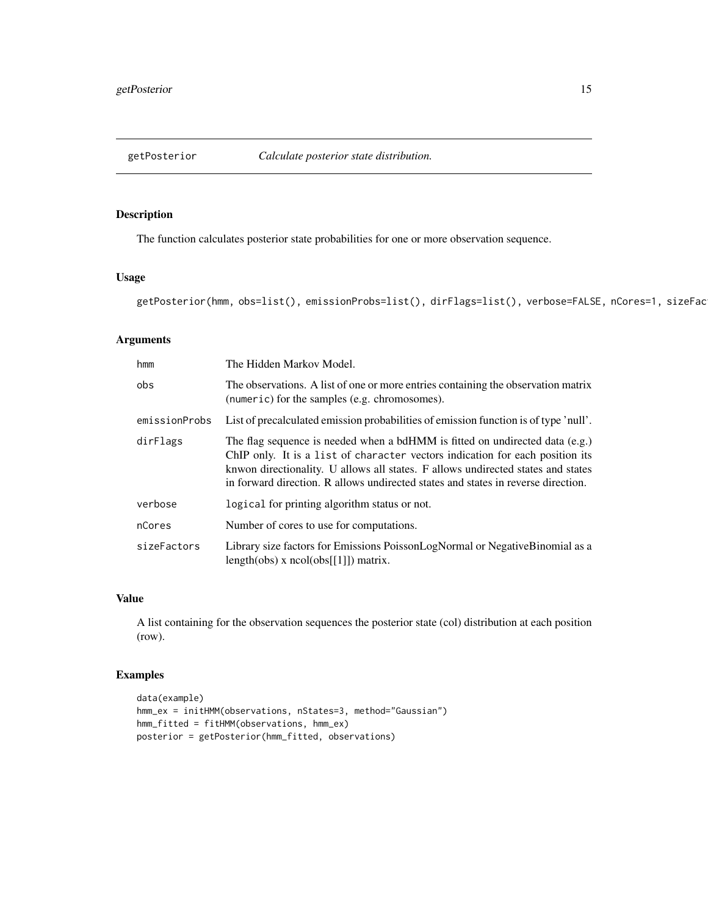<span id="page-14-0"></span>

The function calculates posterior state probabilities for one or more observation sequence.

## Usage

```
getPosterior(hmm, obs=list(), emissionProbs=list(), dirFlags=list(), verbose=FALSE, nCores=1, sizeFac
```
## Arguments

| hmm           | The Hidden Markov Model.                                                                                                                                                                                                                                                                                                                 |
|---------------|------------------------------------------------------------------------------------------------------------------------------------------------------------------------------------------------------------------------------------------------------------------------------------------------------------------------------------------|
| obs           | The observations. A list of one or more entries containing the observation matrix<br>(numeric) for the samples (e.g. chromosomes).                                                                                                                                                                                                       |
| emissionProbs | List of precalculated emission probabilities of emission function is of type 'null'.                                                                                                                                                                                                                                                     |
| dirFlags      | The flag sequence is needed when a bdHMM is fitted on undirected data $(e.g.)$<br>ChIP only. It is a list of character vectors indication for each position its<br>knwon directionality. U allows all states. F allows undirected states and states<br>in forward direction. R allows undirected states and states in reverse direction. |
| verbose       | logical for printing algorithm status or not.                                                                                                                                                                                                                                                                                            |
| nCores        | Number of cores to use for computations.                                                                                                                                                                                                                                                                                                 |
| sizeFactors   | Library size factors for Emissions PoissonLogNormal or Negative Binomial as a<br>$length(obs)$ x $ncol(obs[[1]])$ matrix.                                                                                                                                                                                                                |

#### Value

A list containing for the observation sequences the posterior state (col) distribution at each position (row).

```
data(example)
hmm_ex = initHMM(observations, nStates=3, method="Gaussian")
hmm_fitted = fitHMM(observations, hmm_ex)
posterior = getPosterior(hmm_fitted, observations)
```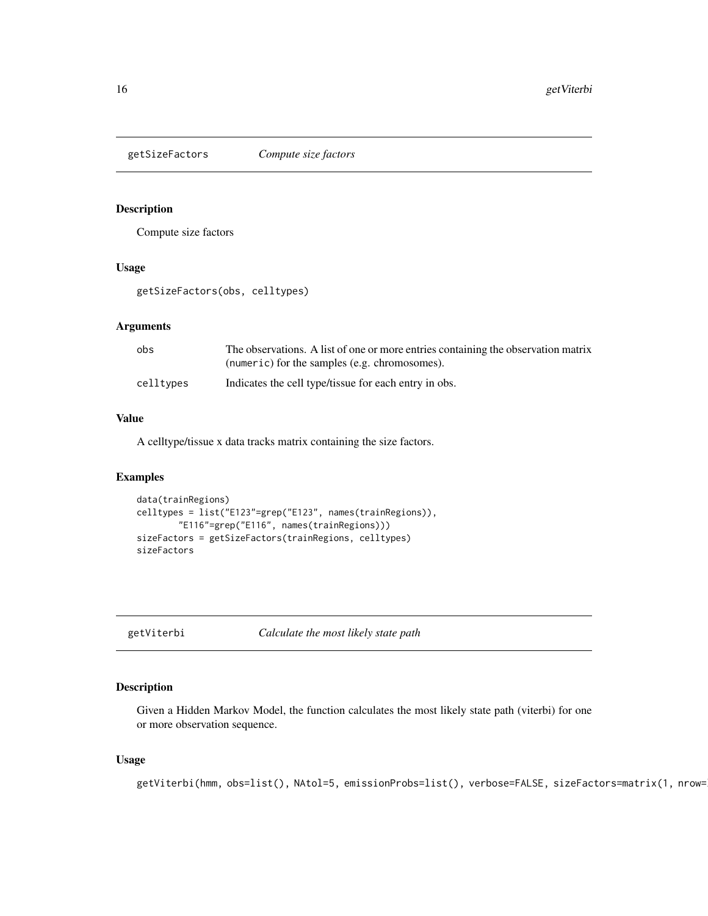<span id="page-15-0"></span>

Compute size factors

#### Usage

getSizeFactors(obs, celltypes)

#### Arguments

| obs       | The observations. A list of one or more entries containing the observation matrix<br>(numeric) for the samples (e.g. chromosomes). |
|-----------|------------------------------------------------------------------------------------------------------------------------------------|
| celltypes | Indicates the cell type/tissue for each entry in obs.                                                                              |

## Value

A celltype/tissue x data tracks matrix containing the size factors.

## Examples

```
data(trainRegions)
celltypes = list("E123"=grep("E123", names(trainRegions)),
        "E116"=grep("E116", names(trainRegions)))
sizeFactors = getSizeFactors(trainRegions, celltypes)
sizeFactors
```
getViterbi *Calculate the most likely state path*

## Description

Given a Hidden Markov Model, the function calculates the most likely state path (viterbi) for one or more observation sequence.

## Usage

```
getViterbi(hmm, obs=list(), NAtol=5, emissionProbs=list(), verbose=FALSE, sizeFactors=matrix(1, nrow=
```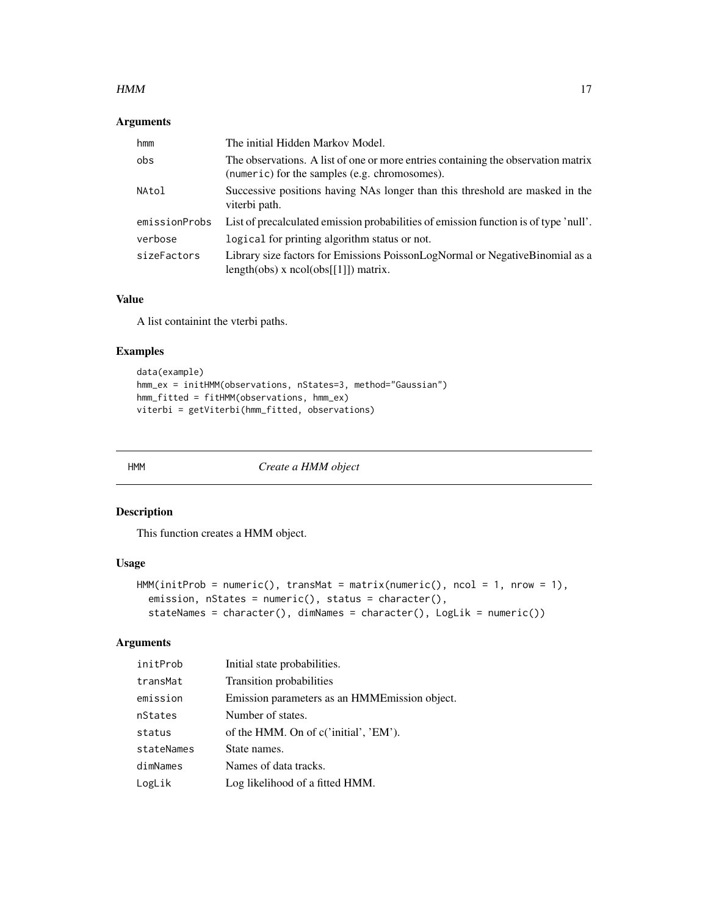#### <span id="page-16-0"></span> $HMM$  and the contract of the contract of the contract of the contract of the contract of the contract of the contract of the contract of the contract of the contract of the contract of the contract of the contract of the

## Arguments

| hmm           | The initial Hidden Markov Model.                                                                                                   |
|---------------|------------------------------------------------------------------------------------------------------------------------------------|
| obs           | The observations. A list of one or more entries containing the observation matrix<br>(numeric) for the samples (e.g. chromosomes). |
| NAtol         | Successive positions having NAs longer than this threshold are masked in the<br>viterbi path.                                      |
| emissionProbs | List of precalculated emission probabilities of emission function is of type 'null'.                                               |
| verbose       | logical for printing algorithm status or not.                                                                                      |
| sizeFactors   | Library size factors for Emissions PoissonLogNormal or NegativeBinomial as a<br>length(obs) x $ncol(obs[[1]])$ matrix.             |

## Value

A list containint the vterbi paths.

## Examples

```
data(example)
hmm_ex = initHMM(observations, nStates=3, method="Gaussian")
hmm_fitted = fitHMM(observations, hmm_ex)
viterbi = getViterbi(hmm_fitted, observations)
```
HMM *Create a HMM object*

## Description

This function creates a HMM object.

## Usage

```
HMM(initProb = numeric(), transMat = matrix(numeric(), ncol = 1, nrow = 1),
  emission, nStates = numeric(), status = character(),
  stateNames = character(), dimNames = character(), LogLik = numeric())
```
## Arguments

| initProb   | Initial state probabilities.                   |
|------------|------------------------------------------------|
| transMat   | Transition probabilities                       |
| emission   | Emission parameters as an HMME mission object. |
| nStates    | Number of states.                              |
| status     | of the HMM. On of c('initial', 'EM').          |
| stateNames | State names.                                   |
| dimNames   | Names of data tracks.                          |
| LogLik     | Log likelihood of a fitted HMM.                |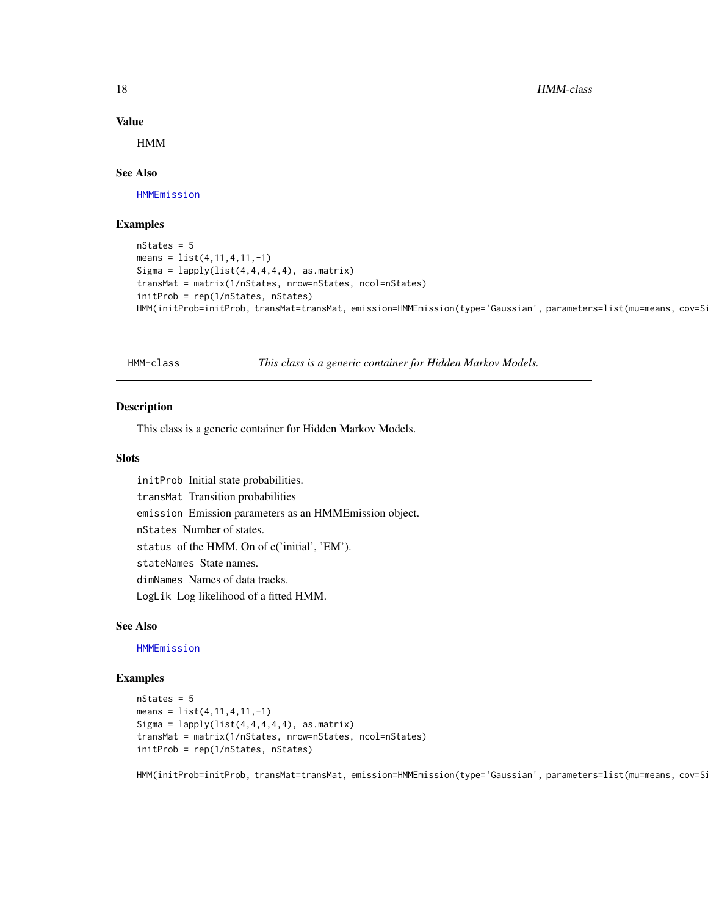<span id="page-17-0"></span>18 HMM-class

#### Value

HMM

#### See Also

[HMMEmission](#page-18-1)

#### Examples

```
nStates = 5means = list(4, 11, 4, 11, -1)Sigma = lapply(list(4,4,4,4,4), as_matrix)transMat = matrix(1/nStates, nrow=nStates, ncol=nStates)
initProb = rep(1/nStates, nStates)
HMM(initProb=initProb, transMat=transMat, emission=HMMEmission(type='Gaussian', parameters=list(mu=means, cov=S
```
<span id="page-17-1"></span>HMM-class *This class is a generic container for Hidden Markov Models.*

#### Description

This class is a generic container for Hidden Markov Models.

## Slots

initProb Initial state probabilities. transMat Transition probabilities emission Emission parameters as an HMMEmission object. nStates Number of states. status of the HMM. On of c('initial', 'EM'). stateNames State names. dimNames Names of data tracks. LogLik Log likelihood of a fitted HMM.

#### See Also

[HMMEmission](#page-18-1)

#### Examples

```
nStates = 5
means = list(4, 11, 4, 11, -1)Sigma = lapply(list(4,4,4,4,4), asmatrix)transMat = matrix(1/nStates, nrow=nStates, ncol=nStates)
initProb = rep(1/nStates, nStates)
```
HMM(initProb=initProb, transMat=transMat, emission=HMMEmission(type='Gaussian', parameters=list(mu=means, cov=S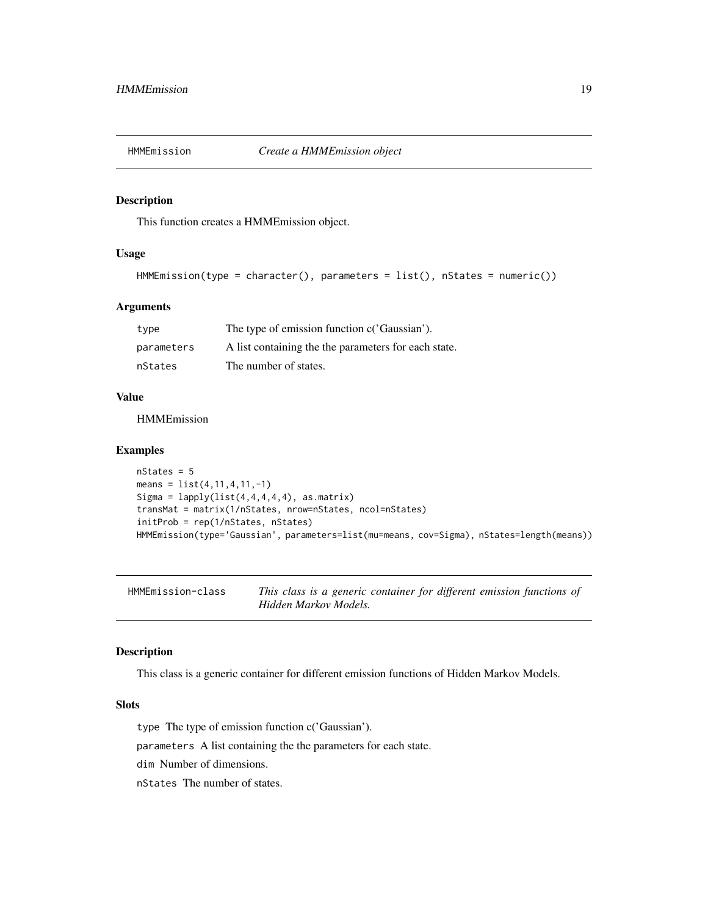<span id="page-18-0"></span>

This function creates a HMMEmission object.

## Usage

```
HMMEmission(type = character(), parameters = list(), nStates = numeric())
```
## Arguments

| type       | The type of emission function c('Gaussian').         |
|------------|------------------------------------------------------|
| parameters | A list containing the the parameters for each state. |
| nStates    | The number of states.                                |

#### Value

HMMEmission

#### Examples

```
nStates = 5means = list(4, 11, 4, 11, -1)Sigma = lapply(list(4,4,4,4,4), as_matrix)transMat = matrix(1/nStates, nrow=nStates, ncol=nStates)
initProb = rep(1/nStates, nStates)
HMMEmission(type='Gaussian', parameters=list(mu=means, cov=Sigma), nStates=length(means))
```
<span id="page-18-1"></span>HMMEmission-class *This class is a generic container for different emission functions of Hidden Markov Models.*

#### Description

This class is a generic container for different emission functions of Hidden Markov Models.

## Slots

type The type of emission function c('Gaussian').

parameters A list containing the the parameters for each state.

dim Number of dimensions.

nStates The number of states.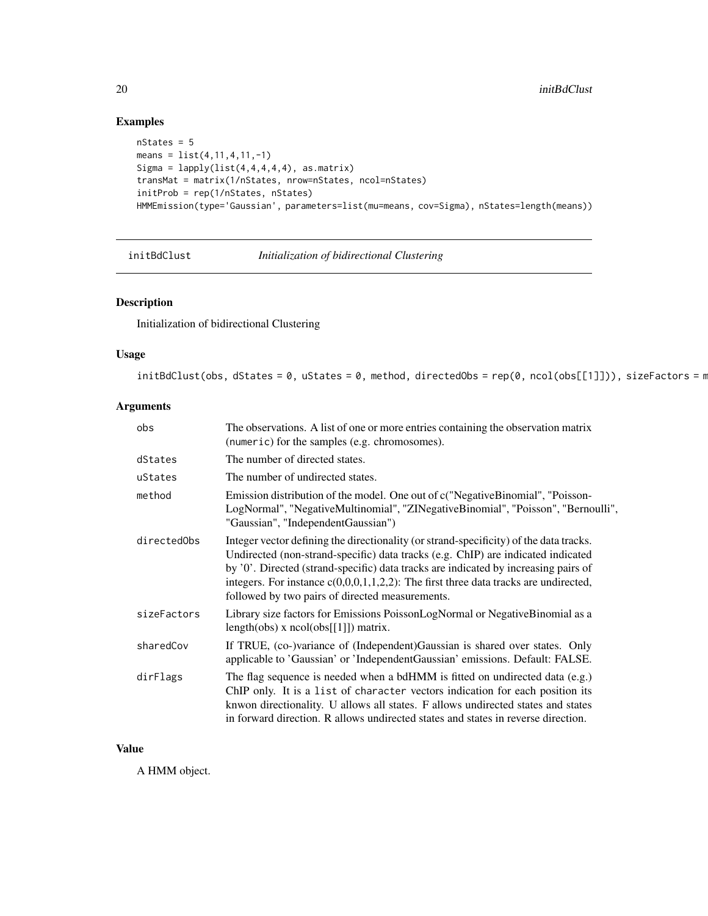## Examples

```
nStates = 5
means = list(4,11,4,11,-1)
Sigma = lapply(list(4,4,4,4,4), as_matrix)transMat = matrix(1/nStates, nrow=nStates, ncol=nStates)
initProb = rep(1/nStates, nStates)
HMMEmission(type='Gaussian', parameters=list(mu=means, cov=Sigma), nStates=length(means))
```
initBdClust *Initialization of bidirectional Clustering*

## Description

Initialization of bidirectional Clustering

#### Usage

 $initBdClust(obs, dStates = 0, uStates = 0, method, directedObs = rep(0, ncol(obs[[1]])), sizeFactors = n$ 

## Arguments

| obs         | The observations. A list of one or more entries containing the observation matrix<br>(numeric) for the samples (e.g. chromosomes).                                                                                                                                                                                                                                                                              |
|-------------|-----------------------------------------------------------------------------------------------------------------------------------------------------------------------------------------------------------------------------------------------------------------------------------------------------------------------------------------------------------------------------------------------------------------|
| dStates     | The number of directed states.                                                                                                                                                                                                                                                                                                                                                                                  |
| uStates     | The number of undirected states.                                                                                                                                                                                                                                                                                                                                                                                |
| method      | Emission distribution of the model. One out of c("NegativeBinomial", "Poisson-<br>LogNormal", "NegativeMultinomial", "ZINegativeBinomial", "Poisson", "Bernoulli",<br>"Gaussian", "IndependentGaussian")                                                                                                                                                                                                        |
| directedObs | Integer vector defining the directionality (or strand-specificity) of the data tracks.<br>Undirected (non-strand-specific) data tracks (e.g. ChIP) are indicated indicated<br>by '0'. Directed (strand-specific) data tracks are indicated by increasing pairs of<br>integers. For instance $c(0,0,0,1,1,2,2)$ : The first three data tracks are undirected,<br>followed by two pairs of directed measurements. |
| sizeFactors | Library size factors for Emissions PoissonLogNormal or NegativeBinomial as a<br>$length(obs)$ x $ncol(obs[[1]])$ matrix.                                                                                                                                                                                                                                                                                        |
| sharedCov   | If TRUE, (co-)variance of (Independent) Gaussian is shared over states. Only<br>applicable to 'Gaussian' or 'IndependentGaussian' emissions. Default: FALSE.                                                                                                                                                                                                                                                    |
| dirFlags    | The flag sequence is needed when a bdHMM is fitted on undirected data (e.g.)<br>ChIP only. It is a list of character vectors indication for each position its<br>knwon directionality. U allows all states. F allows undirected states and states<br>in forward direction. R allows undirected states and states in reverse direction.                                                                          |

## Value

A HMM object.

<span id="page-19-0"></span>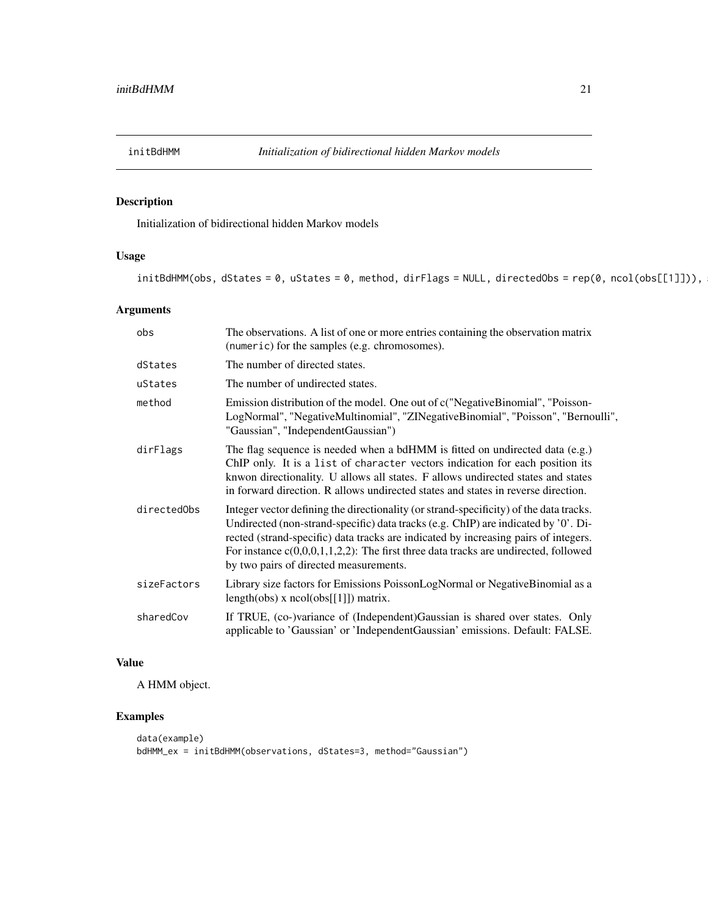<span id="page-20-0"></span>

Initialization of bidirectional hidden Markov models

## Usage

 $initialHMM(obs, dStates = 0, uStates = 0, method, dirFlags = NULL, directedObs = rep(0, ncol(obs[[1]])),$ 

## Arguments

| obs         | The observations. A list of one or more entries containing the observation matrix<br>(numeric) for the samples (e.g. chromosomes).                                                                                                                                                                                                                                                                      |
|-------------|---------------------------------------------------------------------------------------------------------------------------------------------------------------------------------------------------------------------------------------------------------------------------------------------------------------------------------------------------------------------------------------------------------|
| dStates     | The number of directed states.                                                                                                                                                                                                                                                                                                                                                                          |
| uStates     | The number of undirected states.                                                                                                                                                                                                                                                                                                                                                                        |
| method      | Emission distribution of the model. One out of c("NegativeBinomial", "Poisson-<br>LogNormal", "NegativeMultinomial", "ZINegativeBinomial", "Poisson", "Bernoulli",<br>"Gaussian", "IndependentGaussian")                                                                                                                                                                                                |
| dirFlags    | The flag sequence is needed when a bdHMM is fitted on undirected data (e.g.)<br>ChIP only. It is a list of character vectors indication for each position its<br>knwon directionality. U allows all states. F allows undirected states and states<br>in forward direction. R allows undirected states and states in reverse direction.                                                                  |
| directedObs | Integer vector defining the directionality (or strand-specificity) of the data tracks.<br>Undirected (non-strand-specific) data tracks (e.g. ChIP) are indicated by '0'. Di-<br>rected (strand-specific) data tracks are indicated by increasing pairs of integers.<br>For instance $c(0,0,0,1,1,2,2)$ : The first three data tracks are undirected, followed<br>by two pairs of directed measurements. |
| sizeFactors | Library size factors for Emissions PoissonLogNormal or Negative Binomial as a<br>length(obs) x $ncol(obs[[1]])$ matrix.                                                                                                                                                                                                                                                                                 |
| sharedCov   | If TRUE, (co-)variance of (Independent)Gaussian is shared over states. Only<br>applicable to 'Gaussian' or 'IndependentGaussian' emissions. Default: FALSE.                                                                                                                                                                                                                                             |

## Value

A HMM object.

```
data(example)
bdHMM_ex = initBdHMM(observations, dStates=3, method="Gaussian")
```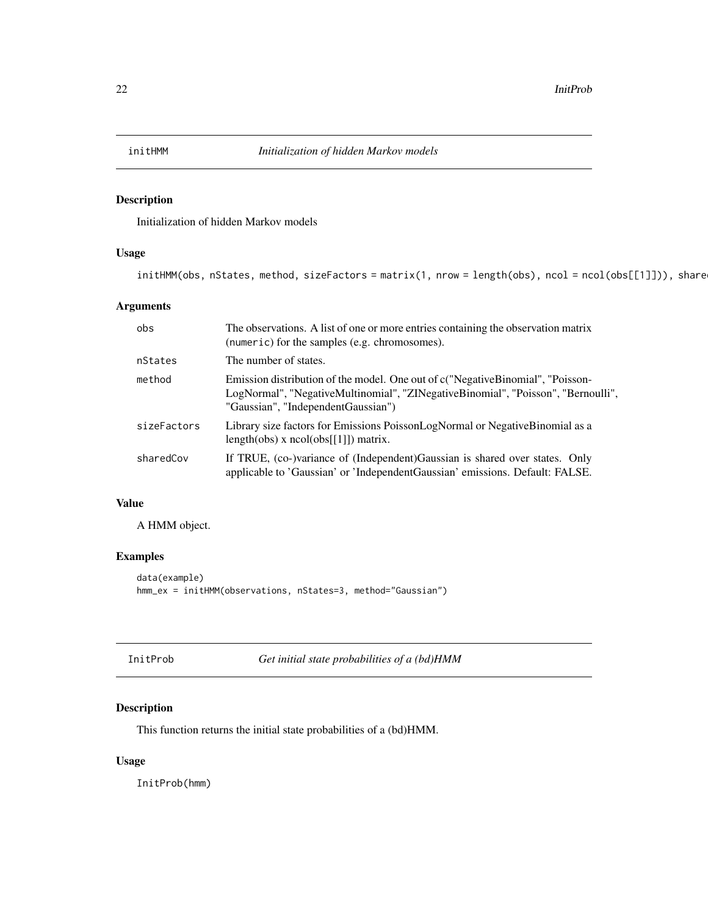<span id="page-21-0"></span>

Initialization of hidden Markov models

## Usage

```
initHMM(obs, nStates, method, sizeFactors = matrix(1, nrow = length(obs), ncol = ncol(obs[[1]])), share
```
#### Arguments

| obs         | The observations. A list of one or more entries containing the observation matrix<br>(numeric) for the samples (e.g. chromosomes).                                                                       |
|-------------|----------------------------------------------------------------------------------------------------------------------------------------------------------------------------------------------------------|
| nStates     | The number of states.                                                                                                                                                                                    |
| method      | Emission distribution of the model. One out of c("NegativeBinomial", "Poisson-<br>LogNormal", "NegativeMultinomial", "ZINegativeBinomial", "Poisson", "Bernoulli",<br>"Gaussian", "IndependentGaussian") |
| sizeFactors | Library size factors for Emissions PoissonLogNormal or Negative Binomial as a<br>$length(obs)$ x $ncol(obs[[1]])$ matrix.                                                                                |
| sharedCov   | If TRUE, (co-)variance of (Independent) Gaussian is shared over states. Only<br>applicable to 'Gaussian' or 'IndependentGaussian' emissions. Default: FALSE.                                             |

## Value

A HMM object.

## Examples

```
data(example)
hmm_ex = initHMM(observations, nStates=3, method="Gaussian")
```

|  | InitProb |  |
|--|----------|--|
|  |          |  |

Get initial state probabilities of a (bd)HMM

## Description

This function returns the initial state probabilities of a (bd)HMM.

## Usage

InitProb(hmm)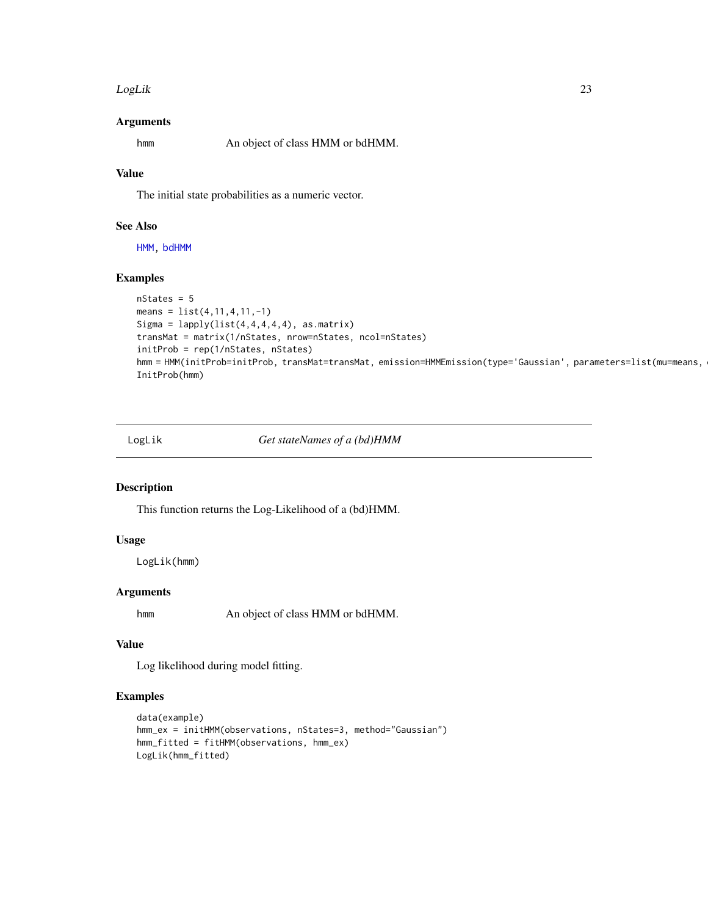#### <span id="page-22-0"></span>LogLik 23

#### Arguments

hmm An object of class HMM or bdHMM.

## Value

The initial state probabilities as a numeric vector.

## See Also

[HMM,](#page-17-1) [bdHMM](#page-3-1)

#### Examples

```
nStates = 5
means = list(4, 11, 4, 11, -1)Sigma = lapply(list(4,4,4,4,4), asmatrix)transMat = matrix(1/nStates, nrow=nStates, ncol=nStates)
initProb = rep(1/nStates, nStates)
hmm = HMM(initProb=initProb, transMat=transMat, emission=HMMEmission(type='Gaussian', parameters=list(mu=means,
InitProb(hmm)
```
LogLik *Get stateNames of a (bd)HMM*

## Description

This function returns the Log-Likelihood of a (bd)HMM.

## Usage

LogLik(hmm)

## Arguments

hmm An object of class HMM or bdHMM.

## Value

Log likelihood during model fitting.

```
data(example)
hmm_ex = initHMM(observations, nStates=3, method="Gaussian")
hmm_fitted = fitHMM(observations, hmm_ex)
LogLik(hmm_fitted)
```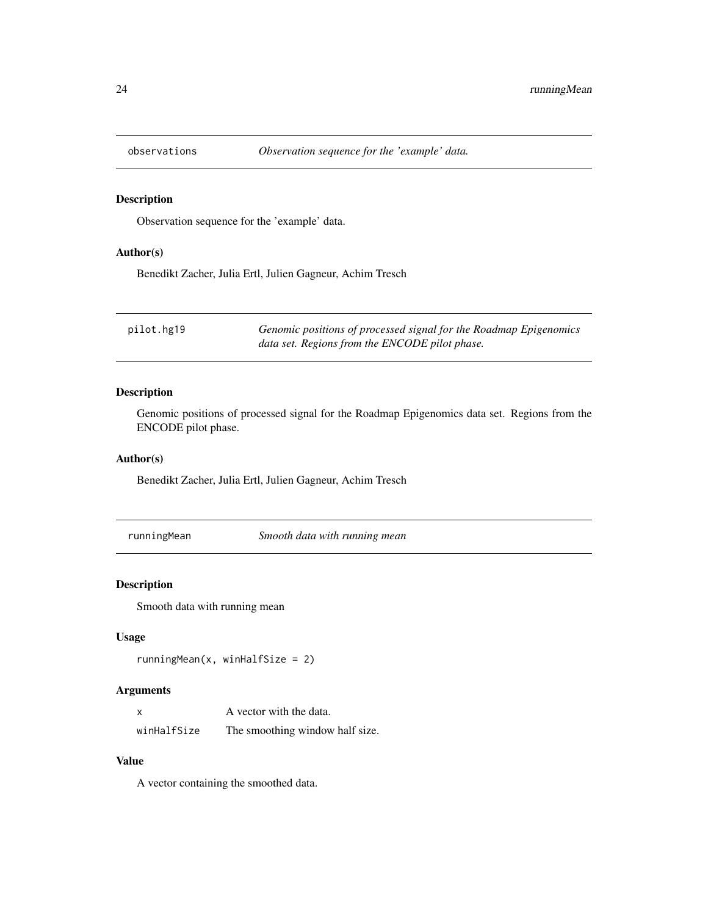<span id="page-23-0"></span>

Observation sequence for the 'example' data.

#### Author(s)

Benedikt Zacher, Julia Ertl, Julien Gagneur, Achim Tresch

| pilot.hg19 | Genomic positions of processed signal for the Roadmap Epigenomics |
|------------|-------------------------------------------------------------------|
|            | data set. Regions from the ENCODE pilot phase.                    |

## Description

Genomic positions of processed signal for the Roadmap Epigenomics data set. Regions from the ENCODE pilot phase.

## Author(s)

Benedikt Zacher, Julia Ertl, Julien Gagneur, Achim Tresch

runningMean *Smooth data with running mean*

## Description

Smooth data with running mean

#### Usage

```
runningMean(x, winHalfSize = 2)
```
## Arguments

| $\boldsymbol{\mathsf{x}}$ | A vector with the data.         |
|---------------------------|---------------------------------|
| winHalfSize               | The smoothing window half size. |

## Value

A vector containing the smoothed data.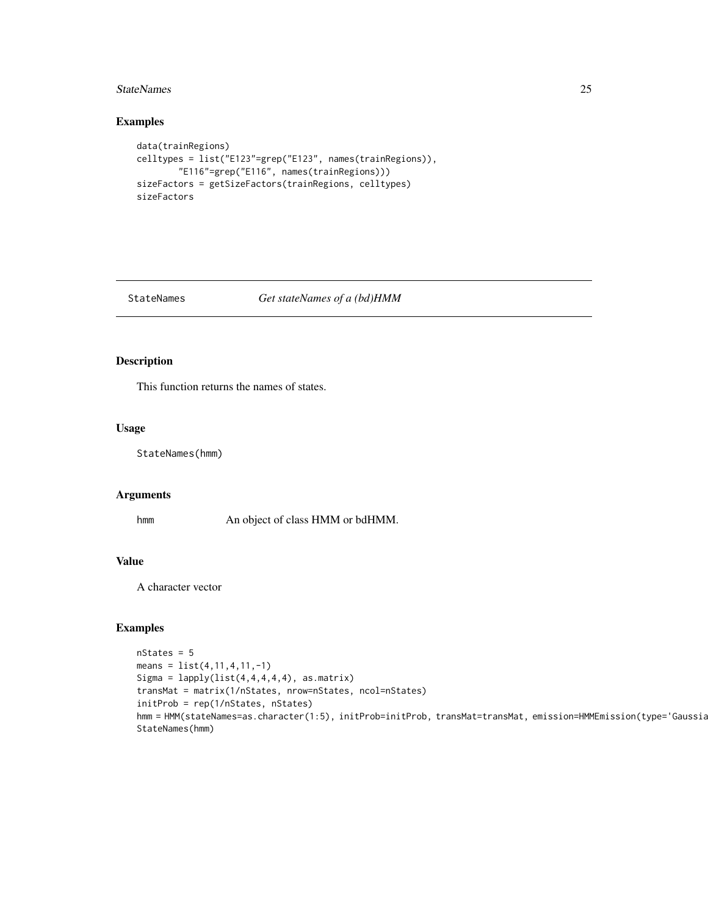#### <span id="page-24-0"></span>StateNames 25

## Examples

```
data(trainRegions)
celltypes = list("E123"=grep("E123", names(trainRegions)),
        "E116"=grep("E116", names(trainRegions)))
sizeFactors = getSizeFactors(trainRegions, celltypes)
sizeFactors
```
#### StateNames *Get stateNames of a (bd)HMM*

## Description

This function returns the names of states.

#### Usage

StateNames(hmm)

#### Arguments

hmm An object of class HMM or bdHMM.

## Value

A character vector

```
nStates = 5
means = list(4, 11, 4, 11, -1)Sigma = lapply(list(4,4,4,4,4), asmatrix)transMat = matrix(1/nStates, nrow=nStates, ncol=nStates)
initProb = rep(1/nStates, nStates)
hmm = HMM(stateNames=as.character(1:5), initProb=initProb, transMat=transMat, emission=HMMEmission(type='Gaussia
StateNames(hmm)
```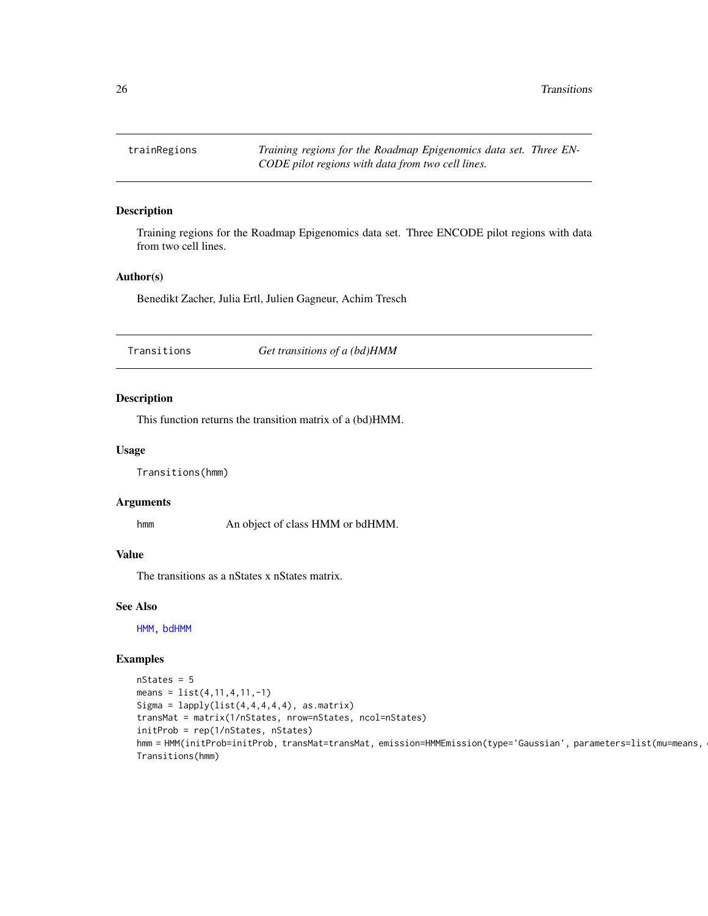<span id="page-25-0"></span>trainRegions *Training regions for the Roadmap Epigenomics data set. Three EN-CODE pilot regions with data from two cell lines.*

## Description

Training regions for the Roadmap Epigenomics data set. Three ENCODE pilot regions with data from two cell lines.

#### Author(s)

Benedikt Zacher, Julia Ertl, Julien Gagneur, Achim Tresch

Transitions *Get transitions of a (bd)HMM*

## Description

This function returns the transition matrix of a (bd)HMM.

## Usage

Transitions(hmm)

#### Arguments

hmm An object of class HMM or bdHMM.

#### Value

The transitions as a nStates x nStates matrix.

#### See Also

[HMM,](#page-17-1) [bdHMM](#page-3-1)

```
nStates = 5
means = list(4, 11, 4, 11, -1)Sigma = lapply(list(4,4,4,4,4), as.matrix)
transMat = matrix(1/nStates, nrow=nStates, ncol=nStates)
initProb = rep(1/nStates, nStates)
hmm = HMM(initProb=initProb, transMat=transMat, emission=HMMEmission(type='Gaussian', parameters=list(mu=means,
Transitions(hmm)
```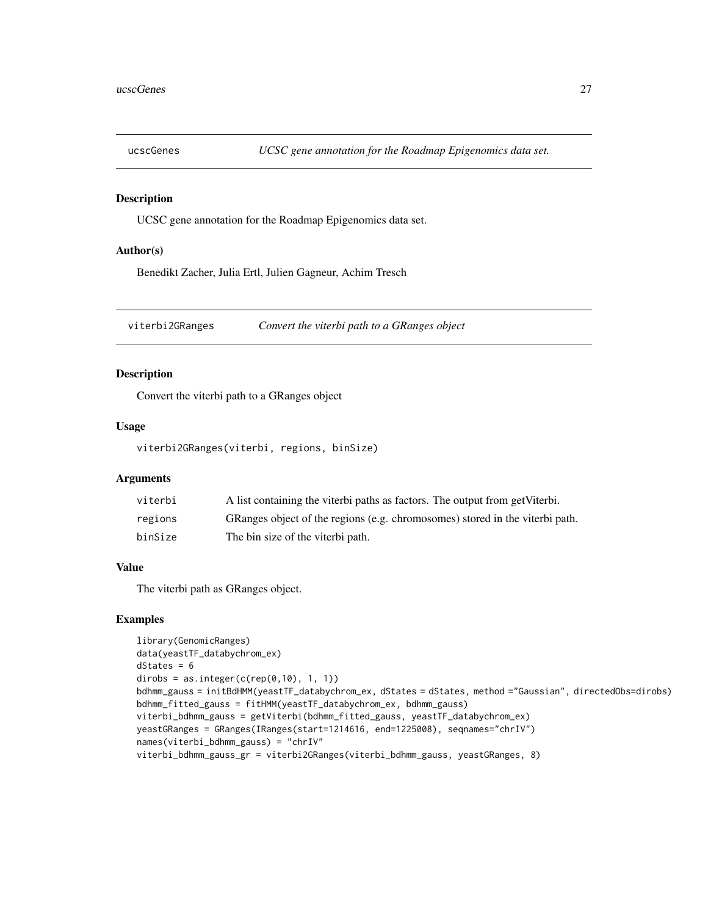<span id="page-26-0"></span>

UCSC gene annotation for the Roadmap Epigenomics data set.

#### Author(s)

Benedikt Zacher, Julia Ertl, Julien Gagneur, Achim Tresch

viterbi2GRanges *Convert the viterbi path to a GRanges object*

## Description

Convert the viterbi path to a GRanges object

## Usage

viterbi2GRanges(viterbi, regions, binSize)

#### Arguments

| viterbi | A list containing the viterbi paths as factors. The output from get Viterbi. |
|---------|------------------------------------------------------------------------------|
| regions | GRanges object of the regions (e.g. chromosomes) stored in the viterbi path. |
| binSize | The bin size of the viterbi path.                                            |

## Value

The viterbi path as GRanges object.

```
library(GenomicRanges)
data(yeastTF_databychrom_ex)
dStates = 6dirobs = as.integer(c(rep(\theta,1\theta), 1, 1))
bdhmm_gauss = initBdHMM(yeastTF_databychrom_ex, dStates = dStates, method ="Gaussian", directedObs=dirobs)
bdhmm_fitted_gauss = fitHMM(yeastTF_databychrom_ex, bdhmm_gauss)
viterbi_bdhmm_gauss = getViterbi(bdhmm_fitted_gauss, yeastTF_databychrom_ex)
yeastGRanges = GRanges(IRanges(start=1214616, end=1225008), seqnames="chrIV")
names(viterbi_bdhmm_gauss) = "chrIV"
viterbi_bdhmm_gauss_gr = viterbi2GRanges(viterbi_bdhmm_gauss, yeastGRanges, 8)
```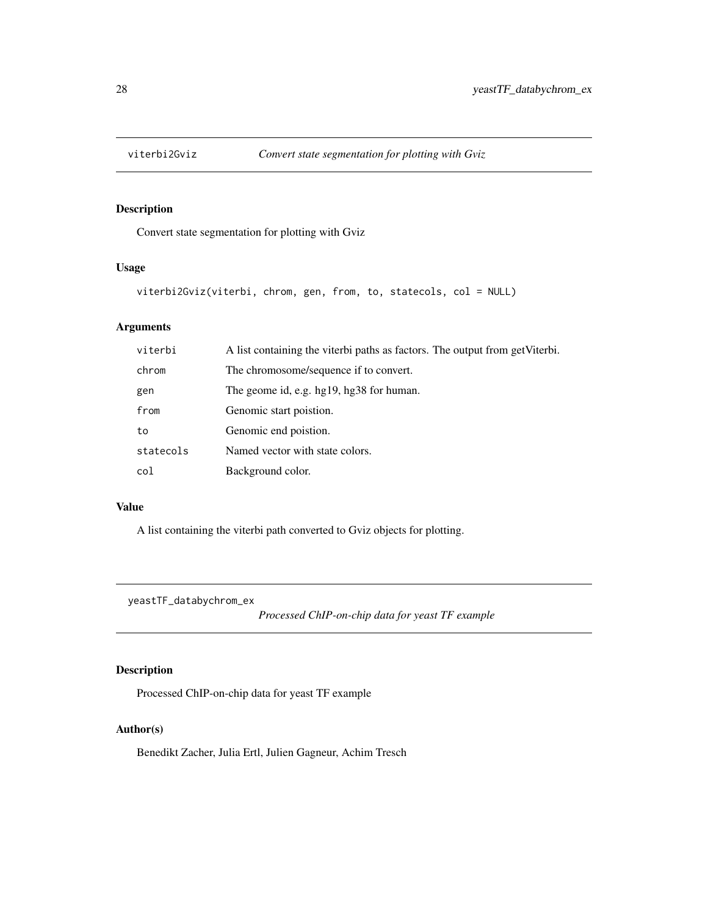<span id="page-27-0"></span>

Convert state segmentation for plotting with Gviz

## Usage

```
viterbi2Gviz(viterbi, chrom, gen, from, to, statecols, col = NULL)
```
## Arguments

| A list containing the viterbi paths as factors. The output from get Viterbi. |
|------------------------------------------------------------------------------|
| The chromosome/sequence if to convert.                                       |
| The geome id, e.g. hg19, hg38 for human.                                     |
| Genomic start poistion.                                                      |
| Genomic end poistion.                                                        |
| Named vector with state colors.                                              |
| Background color.                                                            |
|                                                                              |

#### Value

A list containing the viterbi path converted to Gviz objects for plotting.

yeastTF\_databychrom\_ex

*Processed ChIP-on-chip data for yeast TF example*

## Description

Processed ChIP-on-chip data for yeast TF example

## Author(s)

Benedikt Zacher, Julia Ertl, Julien Gagneur, Achim Tresch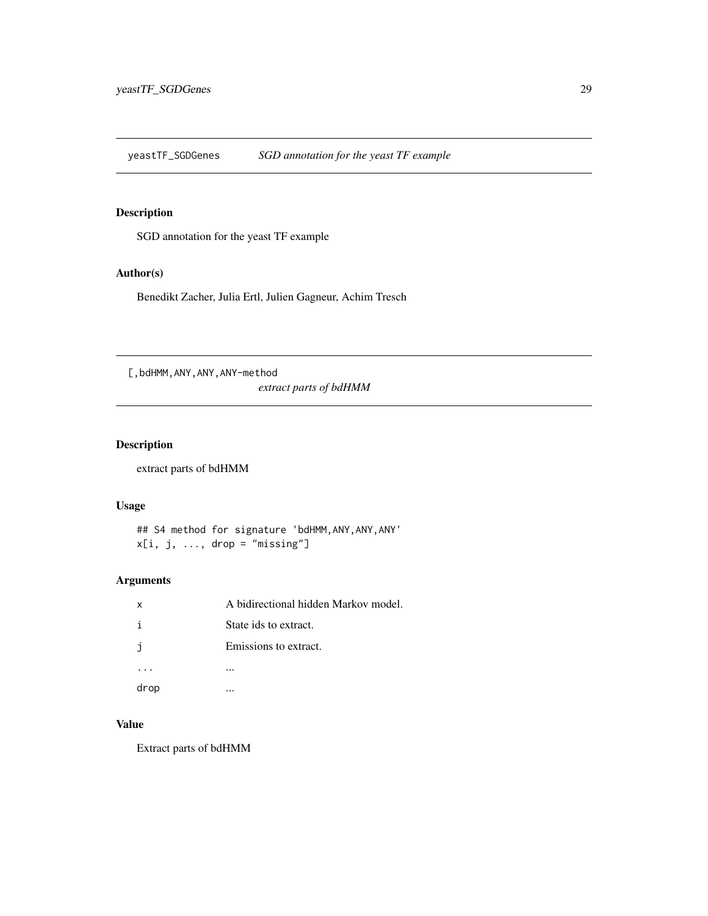<span id="page-28-0"></span>yeastTF\_SGDGenes *SGD annotation for the yeast TF example*

## Description

SGD annotation for the yeast TF example

## Author(s)

Benedikt Zacher, Julia Ertl, Julien Gagneur, Achim Tresch

[,bdHMM,ANY,ANY,ANY-method

*extract parts of bdHMM*

## Description

extract parts of bdHMM

#### Usage

## S4 method for signature 'bdHMM,ANY,ANY,ANY'  $x[i, j, ..., drop = "missing"]$ 

## Arguments

| X    | A bidirectional hidden Markov model. |
|------|--------------------------------------|
|      | State ids to extract.                |
| E.   | Emissions to extract.                |
|      |                                      |
| drop |                                      |

## Value

Extract parts of bdHMM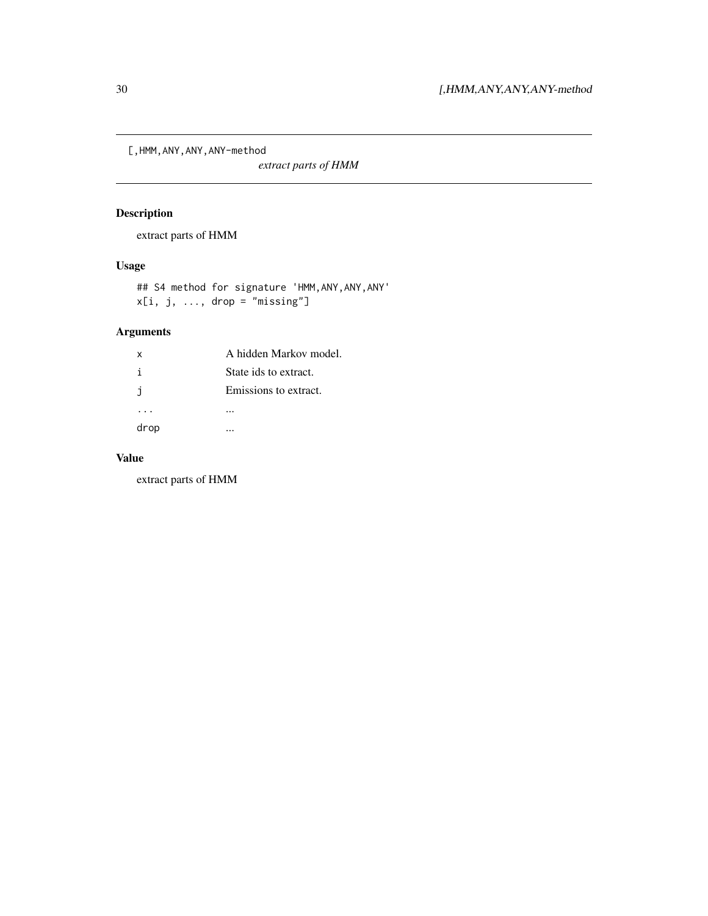<span id="page-29-0"></span>[,HMM,ANY,ANY,ANY-method

*extract parts of HMM*

## Description

extract parts of HMM

## Usage

## S4 method for signature 'HMM,ANY,ANY,ANY'  $x[i, j, ..., drop = "missing"]$ 

## Arguments

| X    | A hidden Markov model. |
|------|------------------------|
| i    | State ids to extract.  |
| -i   | Emissions to extract.  |
|      |                        |
| drop |                        |

## Value

extract parts of HMM